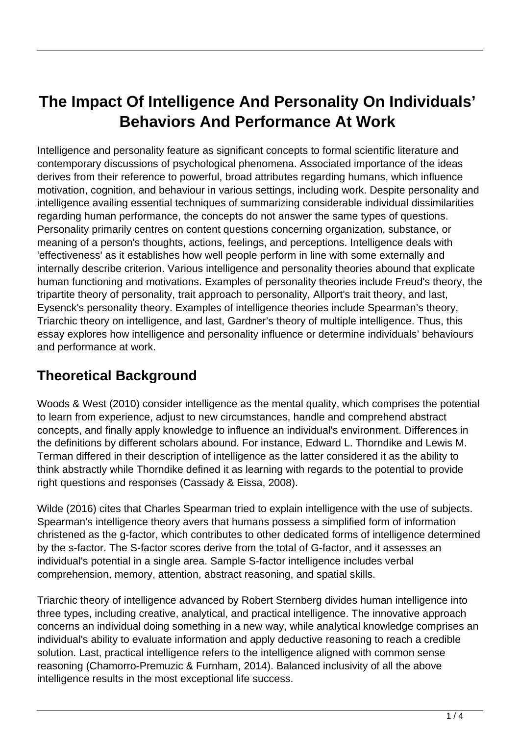# **The Impact Of Intelligence And Personality On Individuals' Behaviors And Performance At Work**

Intelligence and personality feature as significant concepts to formal scientific literature and contemporary discussions of psychological phenomena. Associated importance of the ideas derives from their reference to powerful, broad attributes regarding humans, which influence motivation, cognition, and behaviour in various settings, including work. Despite personality and intelligence availing essential techniques of summarizing considerable individual dissimilarities regarding human performance, the concepts do not answer the same types of questions. Personality primarily centres on content questions concerning organization, substance, or meaning of a person's thoughts, actions, feelings, and perceptions. Intelligence deals with 'effectiveness' as it establishes how well people perform in line with some externally and internally describe criterion. Various intelligence and personality theories abound that explicate human functioning and motivations. Examples of personality theories include Freud's theory, the tripartite theory of personality, trait approach to personality, Allport's trait theory, and last, Eysenck's personality theory. Examples of intelligence theories include Spearman's theory, Triarchic theory on intelligence, and last, Gardner's theory of multiple intelligence. Thus, this essay explores how intelligence and personality influence or determine individuals' behaviours and performance at work.

### **Theoretical Background**

Woods & West (2010) consider intelligence as the mental quality, which comprises the potential to learn from experience, adjust to new circumstances, handle and comprehend abstract concepts, and finally apply knowledge to influence an individual's environment. Differences in the definitions by different scholars abound. For instance, Edward L. Thorndike and Lewis M. Terman differed in their description of intelligence as the latter considered it as the ability to think abstractly while Thorndike defined it as learning with regards to the potential to provide right questions and responses (Cassady & Eissa, 2008).

Wilde (2016) cites that Charles Spearman tried to explain intelligence with the use of subjects. Spearman's intelligence theory avers that humans possess a simplified form of information christened as the g-factor, which contributes to other dedicated forms of intelligence determined by the s-factor. The S-factor scores derive from the total of G-factor, and it assesses an individual's potential in a single area. Sample S-factor intelligence includes verbal comprehension, memory, attention, abstract reasoning, and spatial skills.

Triarchic theory of intelligence advanced by Robert Sternberg divides human intelligence into three types, including creative, analytical, and practical intelligence. The innovative approach concerns an individual doing something in a new way, while analytical knowledge comprises an individual's ability to evaluate information and apply deductive reasoning to reach a credible solution. Last, practical intelligence refers to the intelligence aligned with common sense reasoning (Chamorro-Premuzic & Furnham, 2014). Balanced inclusivity of all the above intelligence results in the most exceptional life success.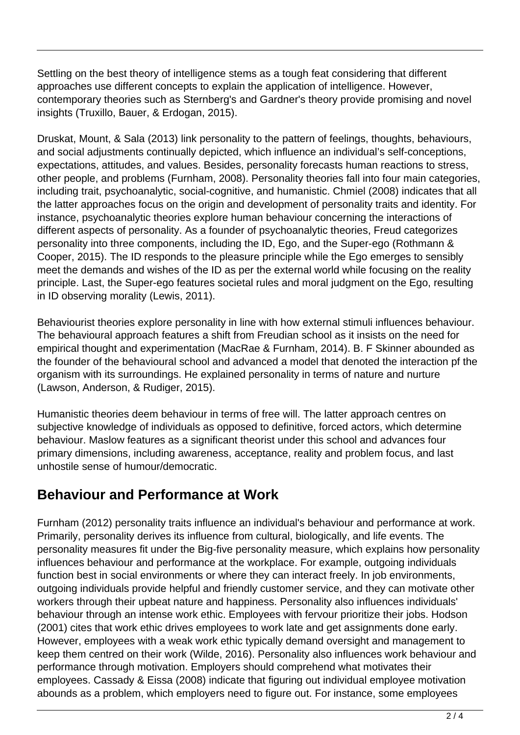Settling on the best theory of intelligence stems as a tough feat considering that different approaches use different concepts to explain the application of intelligence. However, contemporary theories such as Sternberg's and Gardner's theory provide promising and novel insights (Truxillo, Bauer, & Erdogan, 2015).

Druskat, Mount, & Sala (2013) link personality to the pattern of feelings, thoughts, behaviours, and social adjustments continually depicted, which influence an individual's self-conceptions, expectations, attitudes, and values. Besides, personality forecasts human reactions to stress, other people, and problems (Furnham, 2008). Personality theories fall into four main categories, including trait, psychoanalytic, social-cognitive, and humanistic. Chmiel (2008) indicates that all the latter approaches focus on the origin and development of personality traits and identity. For instance, psychoanalytic theories explore human behaviour concerning the interactions of different aspects of personality. As a founder of psychoanalytic theories, Freud categorizes personality into three components, including the ID, Ego, and the Super-ego (Rothmann & Cooper, 2015). The ID responds to the pleasure principle while the Ego emerges to sensibly meet the demands and wishes of the ID as per the external world while focusing on the reality principle. Last, the Super-ego features societal rules and moral judgment on the Ego, resulting in ID observing morality (Lewis, 2011).

Behaviourist theories explore personality in line with how external stimuli influences behaviour. The behavioural approach features a shift from Freudian school as it insists on the need for empirical thought and experimentation (MacRae & Furnham, 2014). B. F Skinner abounded as the founder of the behavioural school and advanced a model that denoted the interaction pf the organism with its surroundings. He explained personality in terms of nature and nurture (Lawson, Anderson, & Rudiger, 2015).

Humanistic theories deem behaviour in terms of free will. The latter approach centres on subjective knowledge of individuals as opposed to definitive, forced actors, which determine behaviour. Maslow features as a significant theorist under this school and advances four primary dimensions, including awareness, acceptance, reality and problem focus, and last unhostile sense of humour/democratic.

### **Behaviour and Performance at Work**

Furnham (2012) personality traits influence an individual's behaviour and performance at work. Primarily, personality derives its influence from cultural, biologically, and life events. The personality measures fit under the Big-five personality measure, which explains how personality influences behaviour and performance at the workplace. For example, outgoing individuals function best in social environments or where they can interact freely. In job environments, outgoing individuals provide helpful and friendly customer service, and they can motivate other workers through their upbeat nature and happiness. Personality also influences individuals' behaviour through an intense work ethic. Employees with fervour prioritize their jobs. Hodson (2001) cites that work ethic drives employees to work late and get assignments done early. However, employees with a weak work ethic typically demand oversight and management to keep them centred on their work (Wilde, 2016). Personality also influences work behaviour and performance through motivation. Employers should comprehend what motivates their employees. Cassady & Eissa (2008) indicate that figuring out individual employee motivation abounds as a problem, which employers need to figure out. For instance, some employees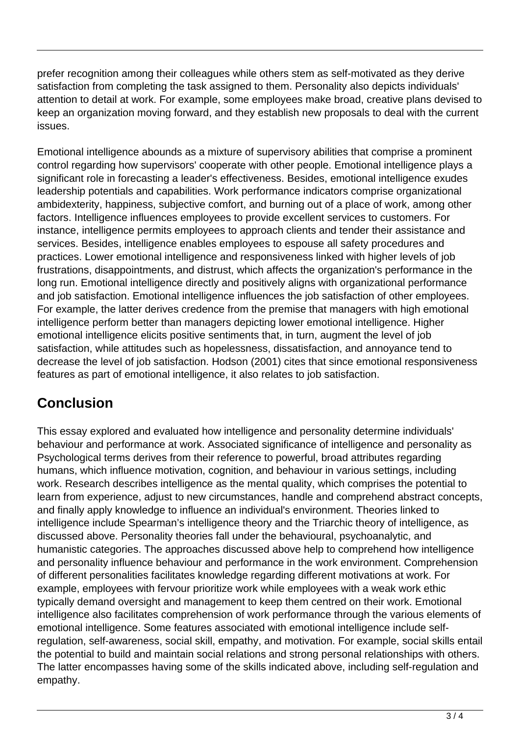prefer recognition among their colleagues while others stem as self-motivated as they derive satisfaction from completing the task assigned to them. Personality also depicts individuals' attention to detail at work. For example, some employees make broad, creative plans devised to keep an organization moving forward, and they establish new proposals to deal with the current issues.

Emotional intelligence abounds as a mixture of supervisory abilities that comprise a prominent control regarding how supervisors' cooperate with other people. Emotional intelligence plays a significant role in forecasting a leader's effectiveness. Besides, emotional intelligence exudes leadership potentials and capabilities. Work performance indicators comprise organizational ambidexterity, happiness, subjective comfort, and burning out of a place of work, among other factors. Intelligence influences employees to provide excellent services to customers. For instance, intelligence permits employees to approach clients and tender their assistance and services. Besides, intelligence enables employees to espouse all safety procedures and practices. Lower emotional intelligence and responsiveness linked with higher levels of job frustrations, disappointments, and distrust, which affects the organization's performance in the long run. Emotional intelligence directly and positively aligns with organizational performance and job satisfaction. Emotional intelligence influences the job satisfaction of other employees. For example, the latter derives credence from the premise that managers with high emotional intelligence perform better than managers depicting lower emotional intelligence. Higher emotional intelligence elicits positive sentiments that, in turn, augment the level of job satisfaction, while attitudes such as hopelessness, dissatisfaction, and annoyance tend to decrease the level of job satisfaction. Hodson (2001) cites that since emotional responsiveness features as part of emotional intelligence, it also relates to job satisfaction.

## **Conclusion**

This essay explored and evaluated how intelligence and personality determine individuals' behaviour and performance at work. Associated significance of intelligence and personality as Psychological terms derives from their reference to powerful, broad attributes regarding humans, which influence motivation, cognition, and behaviour in various settings, including work. Research describes intelligence as the mental quality, which comprises the potential to learn from experience, adjust to new circumstances, handle and comprehend abstract concepts, and finally apply knowledge to influence an individual's environment. Theories linked to intelligence include Spearman's intelligence theory and the Triarchic theory of intelligence, as discussed above. Personality theories fall under the behavioural, psychoanalytic, and humanistic categories. The approaches discussed above help to comprehend how intelligence and personality influence behaviour and performance in the work environment. Comprehension of different personalities facilitates knowledge regarding different motivations at work. For example, employees with fervour prioritize work while employees with a weak work ethic typically demand oversight and management to keep them centred on their work. Emotional intelligence also facilitates comprehension of work performance through the various elements of emotional intelligence. Some features associated with emotional intelligence include selfregulation, self-awareness, social skill, empathy, and motivation. For example, social skills entail the potential to build and maintain social relations and strong personal relationships with others. The latter encompasses having some of the skills indicated above, including self-regulation and empathy.